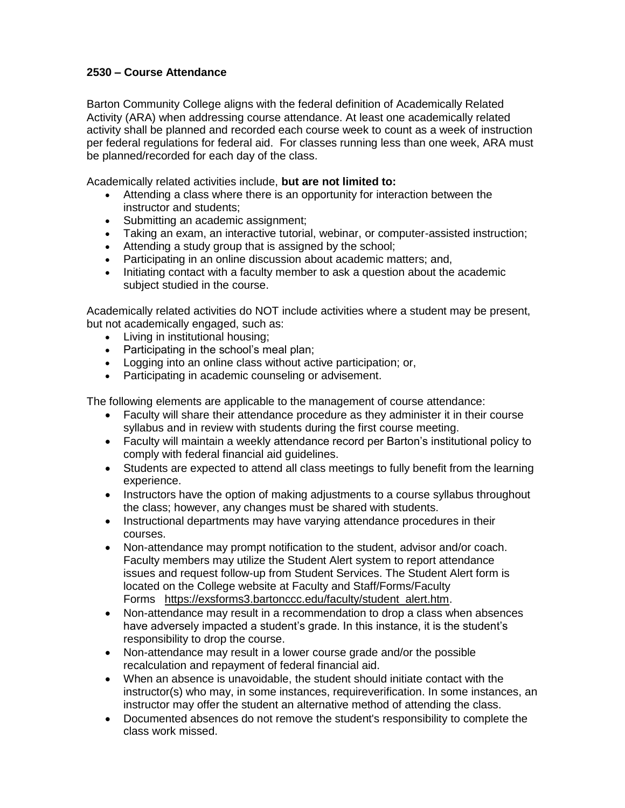## **2530 – Course Attendance**

Barton Community College aligns with the federal definition of Academically Related Activity (ARA) when addressing course attendance. At least one academically related activity shall be planned and recorded each course week to count as a week of instruction per federal regulations for federal aid. For classes running less than one week, ARA must be planned/recorded for each day of the class.

Academically related activities include, **but are not limited to:**

- Attending a class where there is an opportunity for interaction between the instructor and students;
- Submitting an academic assignment:
- Taking an exam, an interactive tutorial, webinar, or computer-assisted instruction;
- Attending a study group that is assigned by the school;
- Participating in an online discussion about academic matters; and,
- Initiating contact with a faculty member to ask a question about the academic subject studied in the course.

Academically related activities do NOT include activities where a student may be present, but not academically engaged, such as:

- Living in institutional housing;
- Participating in the school's meal plan:
- Logging into an online class without active participation; or,
- Participating in academic counseling or advisement.

The following elements are applicable to the management of course attendance:

- Faculty will share their attendance procedure as they administer it in their course syllabus and in review with students during the first course meeting.
- Faculty will maintain a weekly attendance record per Barton's institutional policy to comply with federal financial aid guidelines.
- Students are expected to attend all class meetings to fully benefit from the learning experience.
- Instructors have the option of making adjustments to a course syllabus throughout the class; however, any changes must be shared with students.
- Instructional departments may have varying attendance procedures in their courses.
- Non-attendance may prompt notification to the student, advisor and/or coach. Faculty members may utilize the Student Alert system to report attendance issues and request follow-up from Student Services. The Student Alert form is located on the College website at Faculty and Staff/Forms/Faculty Forms [https://exsforms3.bartonccc.edu/faculty/student\\_alert.htm.](https://exsforms3.bartonccc.edu/faculty/student_alert.htm)
- Non-attendance may result in a recommendation to drop a class when absences have adversely impacted a student's grade. In this instance, it is the student's responsibility to drop the course.
- Non-attendance may result in a lower course grade and/or the possible recalculation and repayment of federal financial aid.
- When an absence is unavoidable, the student should initiate contact with the instructor(s) who may, in some instances, requireverification. In some instances, an instructor may offer the student an alternative method of attending the class.
- Documented absences do not remove the student's responsibility to complete the class work missed.